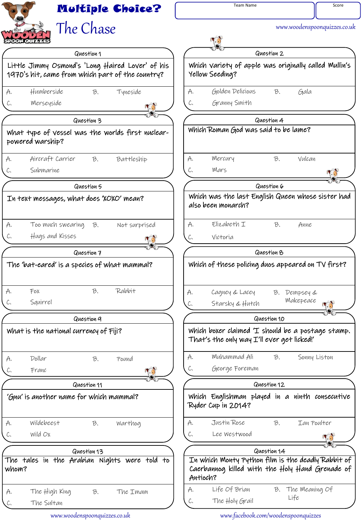

www.woodenspoonquizzes.co.uk www.facebook.com/woodenspoonquizzes